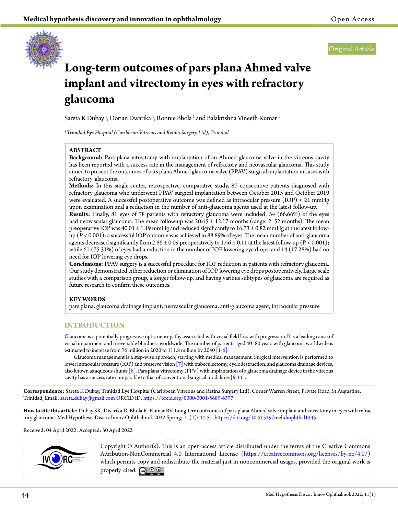

Original Article

# **Long-term outcomes of pars plana Ahmed valve implant and vitrectomy in eyes with refractory glaucoma**

Sareta K Dubay <sup>1</sup>, Dorian Dwarika <sup>1</sup>, Ronnie Bhola <sup>1</sup> and Balakrishna Vineeth Kumar <sup>1</sup>

*1 Trinidad Eye Hospital (Caribbean Vitreous and Retina Surgery Ltd), Trinidad*

## **ABSTRACT**

**Background:** Pars plana vitrectomy with implantation of an Ahmed glaucoma valve in the vitreous cavity has been reported with a success rate in the management of refractory and neovascular glaucoma. This study aimed to present the outcomes of pars plana Ahmed glaucoma valve (PPAV) surgical implantation in cases with refractory glaucoma.

**Methods:** In this single-center, retrospective, comparative study, 87 consecutive patients diagnosed with refractory glaucoma who underwent PPAV surgical implantation between October 2015 and October 2019 were evaluated. A successful postoperative outcome was defined as intraocular pressure (IOP)  $\leq$  21 mmHg upon examination and a reduction in the number of anti-glaucoma agents used at the latest follow-up.

**Results:** Finally, 81 eyes of 78 patients with refractory glaucoma were included; 54 (66.66%) of the eyes had neovascular glaucoma. The mean follow-up was  $20.65 \pm 12.17$  months (range: 2–52 months). The mean preoperative IOP was  $40.01 \pm 1.19$  mmHg and reduced significantly to  $16.73 \pm 0.82$  mmHg at the latest followup (*P* < 0.001); a successful IOP outcome was achieved in 88.89% of eyes. The mean number of anti-glaucoma agents decreased significantly from 2.86  $\pm$  0.09 preoperatively to 1.46  $\pm$  0.11 at the latest follow-up ( $P$  < 0.001); while 61 (75.31%) of eyes had a reduction in the number of IOP lowering eye drops, and 14 (17.28%) had no need for IOP lowering eye drops.

**Conclusions:** PPAV surgery is a successful procedure for IOP reduction in patients with refractory glaucoma. Our study demonstrated either reduction or elimination of IOP lowering eye drops postoperatively. Large scale studies with a comparison group, a longer follow-up, and having various subtypes of glaucoma are required as future research to confirm these outcomes.

## **KEY WORDS**

pars plana, glaucoma drainage implant, neovascular glaucoma, anti-glaucoma agent, intraocular pressure

## **INTRODUCTION**

Glaucoma is a potentially progressive optic neuropathy associated with visual field loss with progression.It is a leading cause of visual impairment and irreversible blindness worldwide. The number of patients aged 40–80 years with glaucoma worldwide is estimated to increase from 76 million in 2020 to 111.8 million by 2040 [\[1-6\]](#page-6-0).

Glaucoma management is a step-wise approach, starting with medical management. Surgical intervention is performed to lower intraocular pressure (IOP) and preserve vision [\[7\]](#page-6-1) with trabeculectomy, cyclodestruction, and glaucoma drainage devices, also known as aqueous shunts  $[8]$ . Pars plana vitrectomy (PPV) with implantation of a glaucoma drainage device in the vitreous cavity has a success rate comparable to that of conventional surgical modalities  $[9-11]$ .

**Correspondence:** Sareta K Dubay, Trinidad Eye Hospital (Caribbean Vitreous and Retina Surgery Ltd), Corner Warren Street, Private Road, St Augustine, Trinidad, Email: [sareta.dubay@gmail.com](mailto:sareta.dubay%40gmail.com?subject=) ORCID iD: <https://orcid.org/0000-0001-5689-6377>

**How to cite this article:** Dubay SK, Dwarika D, Bhola R, Kumar BV. Long-term outcomes of pars plana Ahmed valve implant and vitrectomy in eyes with refractory glaucoma. Med Hypothesis Discov Innov Ophthalmol. 2022 Spring; 11(1): 44-51.<https://doi.org/10.51329/mehdiophthal1445>

## Received: 04 April 2022; Accepted: 30 April 2022



Copyright © Author(s). This is an open-access article distributed under the terms of the Creative Commons Attribution-NonCommercial 4.0 International License [\(https://creativecommons.org/licenses/by-nc/4.0/\)](https://creativecommons.org/licenses/by-nc/4.0/) which permits copy and redistribute the material just in noncommercial usages, provided the original work is properly cited.  $\mathbb{C}$   $\mathbb{O}$   $\circledast$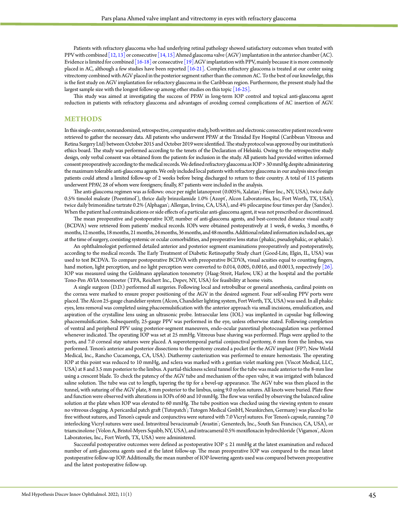Patients with refractory glaucoma who had underlying retinal pathology showed satisfactory outcomes when treated with PPV with combined  $[12, 13]$  or consecutive  $[14, 15]$  $[14, 15]$  Ahmed glaucoma valve (AGV) implantation in the anterior chamber (AC). Evidence is limited for combined [\[16-18\]](#page-7-4) or consecutive [\[19\]](#page-7-5) AGV implantation with PPV, mainly because it is more commonly placed in AC, although a few studies have been reported [\[16-21\]](#page-7-4). Complex refractory glaucoma is treated at our center using vitrectomy combined with AGV placed in the posterior segment rather than the common AC. To the best of our knowledge, this is the first study on AGV implantation for refractory glaucoma in the Caribbean region. Furthermore, the present study had the largest sample size with the longest follow-up among other studies on this topic [\[16-25\]](#page-7-4).

This study was aimed at investigating the success of PPAV in long-term IOP control and topical anti-glaucoma agent reduction in patients with refractory glaucoma and advantages of avoiding corneal complications of AC insertion of AGV.

## **METHODS**

In this single-center, nonrandomized, retrospective, comparative study, both written and electronic consecutive patient records were retrieved to gather the necessary data. All patients who underwent PPAV at the Trinidad Eye Hospital (Caribbean Vitreous and Retina Surgery Ltd) between October 2015 and October 2019 were identified. The study protocol was approved by our institution's ethics board. The study was performed according to the tenets of the Declaration of Helsinki. Owing to the retrospective study design, only verbal consent was obtained from the patients for inclusion in the study. All patients had provided written informed consent preoperatively according to the medical records. We defined refractory glaucoma as IOP > 30 mmHg despite administering the maximum tolerable anti-glaucoma agents. We only included local patients with refractory glaucoma in our analysis since foreign patients could attend a limited follow-up of 2 weeks before being discharged to return to their country. A total of 115 patients underwent PPAV, 28 of whom were foreigners; finally, 87 patients were included in the analysis.

The anti-glaucoma regimen was as follows: once per night latanoprost (0.005%, Xalatan ; Pfizer Inc., NY, USA), twice daily 0.5% timolol maleate (Poentimol'), thrice daily brinzolamide 1.0% (Azopt', Alcon Laboratories, Inc, Fort Worth, TX, USA), twice daily brimonidine tartrate 0.2% (Alphagan ; Allergan, Irvine, CA, USA), and 4% pilocarpine four times per day (Sandoz). When the patient had contraindications or side effects of a particular anti-glaucoma agent, it was not prescribed or discontinued.

The mean preoperative and postoperative IOP, number of anti-glaucoma agents, and best-corrected distance visual acuity (BCDVA) were retrieved from patients' medical records. IOPs were obtained postoperatively at 1 week, 6 weeks, 3 months, 6 months, 12 months, 18 months, 21 months, 24 months, 36 months, and 48 months. Additional related information included sex, age at the time of surgery, coexisting systemic or ocular comorbidities, and preoperative lens status (phakic, pseudophakic, or aphakic).

An ophthalmologist performed detailed anterior and posterior segment examinations preoperatively and postoperatively, according to the medical records. The Early Treatment of Diabetic Retinopathy Study chart (Good-Lite, Elgin, IL, USA) was used to test BCDVA. To compare postoperative BCDVA with preoperative BCDVA, visual acuities equal to counting fingers, hand motion, light perception, and no light perception were converted to 0.014, 0.005, 0.0016, and 0.0013, respectively [\[26\].](#page-7-6) IOP was measured using the Goldmann applanation tonometry (Haag-Streit, Harlow, UK) at the hospital and the portable Tono-Pen AVIA tonomoeter (TPA, Reichert Inc., Depev, NY, USA) for feasibility at home visits.

A single surgeon (D.D.) performed all surgeries. Following local and retrobulbar or general anesthesia, cardinal points on the cornea were marked to ensure proper positioning of the AGV in the desired segment. Four self-sealing PPV ports were placed. The Alcon 25-gauge chandelier system (Alcon, Chandelier lighting system, Fort Worth, TX, USA) was used. In all phakic eyes, lens removal was completed using phacoemulsification with the anterior approach via small incisions, emulsification, and aspiration of the crystalline lens using an ultrasonic probe. Intraocular lens (IOL) was implanted in capsular bag following phacoemulsification. Subsequently, 25-gauge PPV was performed in the eye, unless otherwise stated. Following completion of ventral and peripheral PPV using posterior-segment maneuvers, endo-ocular panretinal photocoagulation was performed whenever indicated. The operating IOP was set at 25 mmHg. Vitreous base shaving was performed. Plugs were applied to the ports, and 7.0 corneal stay sutures were placed. A superotemporal partial conjunctival peritomy, 6 mm from the limbus, was performed. Tenon's anterior and posterior dissections to the peritomy created a pocket for the AGV implant (FP7; New World Medical, Inc., Rancho Cucamonga, CA, USA). Diathermy cauterization was performed to ensure hemostasis. The operating IOP at this point was reduced to 10 mmHg, and sclera was marked with a gentian violet marking pen (Viscot Medical, LLC, USA) at 8 and 3.5 mm posterior to the limbus. A partial-thickness scleral tunnel for the tube was made anterior to the 8-mm line using a crescent blade. To check the patency of the AGV tube and mechanism of the open valve, it was irrigated with balanced saline solution. The tube was cut to length, tapering the tip for a bevel-up appearance. The AGV tube was then placed in the tunnel, with suturing of the AGV plate, 8 mm posterior to the limbus, using 9.0 nylon sutures. All knots were buried. Plate flow and function were observed with alterations in IOPs of 60 and 10 mmHg. The flow was verified by observing the balanced saline solution at the plate when IOP was elevated to 60 mmHg. The tube position was checked using the viewing system to ensure no vitreous clogging. A pericardial patch graft (Tutopatch); Tutogen Medical GmbH, Neunkirchen, Germany) was placed to lie free without sutures, and Tenon's capsule and conjunctiva were sutured with 7.0 Vicryl sutures. For Tenon's capsule, running 7.0 interlocking Vicryl sutures were used. Intravitreal bevacizumab (Avastin ; Genentech, Inc., South San Francisco, CA, USA), or triamcinolone (Volon A, Bristol-Myers Squibb, NY, USA), and intracameral 0.5% moxifloxacin hydrochloride (Vigamox), Alcon Laboratories, Inc., Fort Worth, TX, USA) were administered.

Successful postoperative outcomes were defined as postoperative IOP ≤ 21 mmHg at the latest examination and reduced number of anti-glaucoma agents used at the latest follow-up. The mean preoperative IOP was compared to the mean latest postoperative follow-up IOP. Additionally, the mean number of IOP-lowering agents used was compared between preoperative and the latest postoperative follow-up.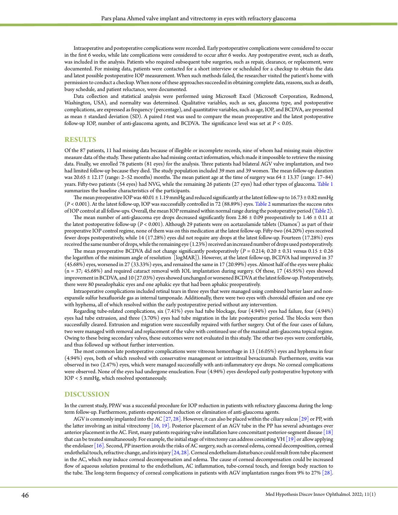Intraoperative and postoperative complications were recorded. Early postoperative complications were considered to occur in the first 6 weeks, while late complications were considered to occur after 6 weeks. Any postoperative event, such as death, was included in the analysis. Patients who required subsequent tube surgeries, such as repair, clearance, or replacement, were documented. For missing data, patients were contacted for a short interview or scheduled for a checkup to obtain the data and latest possible postoperative IOP measurement. When such methods failed, the researcher visited the patient's home with permission to conduct a checkup. When none of these approaches succeeded in obtaining complete data, reasons, such as death, busy schedule, and patient reluctance, were documented.

Data collection and statistical analysis were performed using Microsoft Excel (Microsoft Corporation, Redmond, Washington, USA), and normality was determined. Qualitative variables, such as sex, glaucoma type, and postoperative complications, are expressed as frequency (percentage), and quantitative variables, such as age, IOP, and BCDVA, are presented as mean ± standard deviation (SD). A paired *t*-test was used to compare the mean preoperative and the latest postoperative follow-up IOP, number of anti-glaucoma agents, and BCDVA. The significance level was set at *P* < 0.05.

## **RESULTS**

Of the 87 patients, 11 had missing data because of illegible or incomplete records, nine of whom had missing main objective measure data of the study. These patients also had missing contact information, which made it impossible to retrieve the missing data. Finally, we enrolled 78 patients (81 eyes) for the analysis. Three patients had bilateral AGV valve implantation, and two had limited follow-up because they died. The study population included 39 men and 39 women. The mean follow-up duration was 20.65 ± 12.17 (range: 2–52 months) months. The mean patient age at the time of surgery was 64 ± 13.37 (range: 17–84) years. Fifty-two patients (54 eyes) had NVG, while the remaining 26 patients (27 eyes) had other types of glaucoma. [Table](#page-3-0) 1 summarizes the baseline characteristics of the participants.

The mean preoperative IOP was  $40.01 \pm 1.19$  mmHg and reduced significantly at the latest follow-up to  $16.73 \pm 0.82$  mmHg (*P* < 0.001). At the latest follow-up, IOP was successfully controlled in 72 (88.89%) eyes. [Table](#page-3-1) 2 summarizes the success rates of IOP control at all follow-ups. Overall, the mean IOP remained within normal range during the postoperative period ([Table](#page-3-1) 2).

The mean number of anti-glaucoma eye drops decreased significantly from  $2.86 \pm 0.09$  preoperatively to  $1.46 \pm 0.11$  at the latest postoperative follow-up (*P* < 0.001). Although 29 patients were on acetazolamide tablets (Diamox') as part of their preoperative IOP control regime, none of them was on this medication at the latest follow-up. Fifty-two (64.20%) eyes received fewer drops postoperatively, while 14 (17.28%) eyes did not require any drops at the latest follow-up. Fourteen (17.28%) eyes received the same number of drops, while the remaining eye (1.23%) received an increased number of drops used postoperatively.

The mean preoperative BCDVA did not change significantly postoperatively (*P* = 0.214; 0.20 ± 0.31 versus 0.15 ± 0.26 the logarithm of the minimum angle of resolution [logMAR]). However, at the latest follow-up, BCDVA had improved in 37 (45.68%) eyes, worsened in 27 (33.33%) eyes, and remained the same in 17 (20.99%) eyes. Almost half of the eyes were phakic (n = 37; 45.68%) and required cataract removal with IOL implantation during surgery. Of these, 17 (45.95%) eyes showed improvement in BCDVA, and 10 (27.03%) eyes showed unchanged or worsened BCDVA at the latest follow-up. Postoperatively, there were 80 pseudophakic eyes and one aphakic eye that had been aphakic preoperatively.

Intraoperative complications included retinal tears in three eyes that were managed using combined barrier laser and nonexpansile sulfur hexafluoride gas as internal tamponade. Additionally, there were two eyes with choroidal effusion and one eye with hyphema, all of which resolved within the early postoperative period without any intervention.

Regarding tube-related complications, six (7.41%) eyes had tube blockage, four (4.94%) eyes had failure, four (4.94%) eyes had tube extrusion, and three (3.70%) eyes had tube migration in the late postoperative period. The blocks were then successfully cleared. Extrusion and migration were successfully repaired with further surgery. Out of the four cases of failure, two were managed with removal and replacement of the valve with continued use of the maximal anti-glaucoma topical regime. Owing to these being secondary valves, these outcomes were not evaluated in this study. The other two eyes were comfortable, and thus followed up without further intervention.

The most common late postoperative complications were vitreous hemorrhage in 13 (16.05%) eyes and hyphema in four (4.94%) eyes, both of which resolved with conservative management or intravitreal bevacizumab. Furthermore, uveitis was observed in two (2.47%) eyes, which were managed successfully with anti-inflammatory eye drops. No corneal complications were observed. None of the eyes had undergone enucleation. Four (4.94%) eyes developed early postoperative hypotony with IOP < 5 mmHg, which resolved spontaneously.

### **DISCUSSION**

In the current study, PPAV was a successful procedure for IOP reduction in patients with refractory glaucoma during the longterm follow-up. Furthermore, patients experienced reduction or elimination of anti-glaucoma agents.

AGV is commonly implanted into the AC [\[27,](#page-7-7) [28\]](#page-7-8). However, it can also be placed within the ciliary sulcus [\[29\]](#page-7-9) or PP, with the latter involving an initial vitrectomy [\[16,](#page-7-4) [19\].](#page-7-5) Posterior placement of an AGV tube in the PP has several advantages over anterior placement in the AC. First, many patients requiring valve installation have concomitant posterior-segment disease  $\lceil 18 \rceil$ that can be treated simultaneously. For example, the initial stage of vitrectomy can address coexisting VH  $[19]$  or allow applying the endolaser [\[16\]](#page-7-4). Second, PP insertion avoids the risks of AC surgery, such as corneal edema, corneal decomposition, corneal endothelial touch, refractive change, and iris injury  $[24, 28]$  $[24, 28]$ . Corneal endothelium disturbance could result from tube placement in the AC, which may induce corneal decompensation and edema. The cause of corneal decompensation could be increased flow of aqueous solution proximal to the endothelium, AC inflammation, tube-corneal touch, and foreign body reaction to the tube. The long-term frequency of corneal complications in patients with AGV implantation ranges from 9% to 27% [\[28\].](#page-7-8)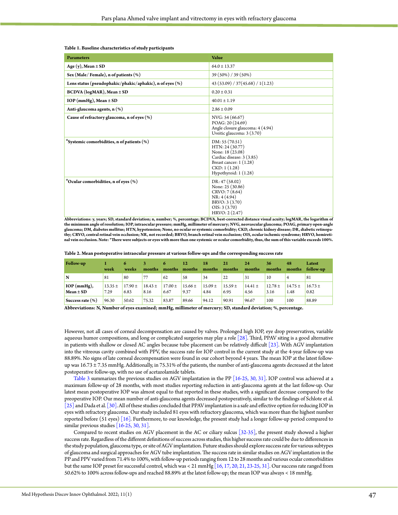#### <span id="page-3-0"></span>**Table 1. Baseline characteristics of study participants**

| <b>Parameters</b>                                           | Value                                                                                                                                                    |
|-------------------------------------------------------------|----------------------------------------------------------------------------------------------------------------------------------------------------------|
| Age (y), Mean $\pm$ SD                                      | $64.0 \pm 13.37$                                                                                                                                         |
| Sex (Male/Female), n of patients (%)                        | 39 (50%) / 39 (50%)                                                                                                                                      |
| Lens status (pseudophakic/phakic/aphakic), n of eyes $(\%)$ | 43(53.09)/37(45.68)/1(1.23)                                                                                                                              |
| $BCDVA (logMAR)$ , Mean $\pm SD$                            | $0.20 \pm 0.31$                                                                                                                                          |
| $IOP$ (mmHg), Mean $\pm$ SD                                 | $40.01 \pm 1.19$                                                                                                                                         |
| Anti-glaucoma agents, n (%)                                 | $2.86 \pm 0.09$                                                                                                                                          |
| Cause of refractory glaucoma, n of eyes $(\%)$              | NVG: 54 (66.67)<br>POAG: 20 (24.69)<br>Angle closure glaucoma: 4 (4.94)<br>Uveitic glaucoma: 3 (3.70)                                                    |
| "Systemic comorbidities, n of patients (%)                  | DM: 55 (70.51)<br>HTN: 24 (30.77)<br>None: 18 (23.08)<br>Cardiac disease: 3 (3.85)<br>Breast cancer: $1(1.28)$<br>CKD: 1(1.28)<br>Hypothyroid: $1(1.28)$ |
| *Ocular comorbidities, n of eyes (%)                        | DR: 47(58.02)<br>None: 25 (30.86)<br>CRVO: 7 (8.64)<br>NR: 4(4.94)<br>BRVO: 3 (3.70)<br>OIS: 3(3.70)<br>HRVO: 2 (2.47)                                   |

**Abbreviations: y, years; SD, standard deviation; n, number; %, percentage; BCDVA, best-corrected distance visual acuity; logMAR, the logarithm of the minimum angle of resolution; IOP, intraocular pressure; mmHg, millimeter of mercury; NVG, neovascular glaucoma; POAG, primary open-angle glaucoma; DM, diabetes mellitus; HTN, hypotension; None, no ocular or systemic comorbidity; CKD, chronic kidney disease; DR, diabetic retinopathy; CRVO, central retinal vein occlusion; NR, not recorded; BRVO, branch retinal vein occlusion; OIS, ocular ischemic syndrome; HRVO, hemiretinal vein occlusion. Note: \*There were subjects or eyes with more than one systemic or ocular comorbidity, thus, the sum of this variable exceeds 100%.**

<span id="page-3-1"></span>

| Table 2. Mean postoperative intraocular pressure at various follow-ups and the corresponding success rate |  |  |  |  |  |  |  |                                                                                           |  |  |
|-----------------------------------------------------------------------------------------------------------|--|--|--|--|--|--|--|-------------------------------------------------------------------------------------------|--|--|
| <b>Follow-up</b>                                                                                          |  |  |  |  |  |  |  | 1 6 3 6 12 18 21 24<br>week weeks months months months months months months months months |  |  |

| Follow-up                      | week                | o<br>weeks          | months              | 6<br>months         | 12<br>months        | 18<br>months        | 21<br>months        | 24<br>months        | 36<br>months        | 48<br>months        | Latest<br>follow-up |
|--------------------------------|---------------------|---------------------|---------------------|---------------------|---------------------|---------------------|---------------------|---------------------|---------------------|---------------------|---------------------|
| N                              | 81                  | -80                 |                     | 62                  | 58                  | 34                  | 22                  | 31                  | 10                  | 4                   | 81                  |
| $IOP$ (mmHg),<br>$Mean \pm SD$ | $13.35 \pm$<br>7.29 | $17.90 \pm$<br>6.83 | $18.43 \pm$<br>8.16 | $17.00 \pm$<br>6.67 | $15.66 \pm$<br>9.37 | $15.09 \pm$<br>4.84 | $15.59 \pm$<br>6.95 | $14.41 \pm$<br>4.56 | $12.78 \pm$<br>3.16 | $14.75 \pm$<br>1.48 | $16.73 \pm$<br>0.82 |
| Success rate $(\% )$           | 96.30               | 50.62               | 75.32               | 83.87               | 89.66               | 94.12               | 90.91               | 96.67               | 100                 | 100                 | 88.89               |

**Abbreviations: N, Number of eyes examined; mmHg, millimeter of mercury; SD, standard deviation; %, percentage.**

However, not all cases of corneal decompensation are caused by valves. Prolonged high IOP, eye drop preservatives, variable aqueous humor compositions, and long or complicated surgeries may play a role  $\lceil 28 \rceil$ . Third, PPAV siting is a good alternative in patients with shallow or closed AC angles because tube placement can be relatively difficult [\[23\]](#page-7-12). With AGV implantation into the vitreous cavity combined with PPV, the success rate for IOP control in the current study at the 4-year follow-up was 88.89%. No signs of late corneal decompensation were found in our cohort beyond 4 years. The mean IOP at the latest followup was 16.73 ± 7.35 mmHg. Additionally, in 75.31% of the patients, the number of anti-glaucoma agents decreased at the latest postoperative follow-up, with no use of acetazolamide tablets.

[Table](#page-4-0) 3 summarizes the previous studies on AGV implantation in the PP [\[16-25,](#page-7-4) [30,](#page-7-13) [31\]](#page-7-14). IOP control was achieved at a maximum follow-up of 28 months, with most studies reporting reduction in anti-glaucoma agents at the last follow-up. Our latest mean postoperative IOP was almost equal to that reported in these studies, with a significant decrease compared to the preoperative IOP. Our mean number of anti-glaucoma agents decreased postoperatively, similar to the findings of Schlote et al. [\[25\] a](#page-7-15)nd Dada et al. [\[30\].](#page-7-13) All of these studies concluded that PPAV implantation is a safe and effective option for reducing IOP in eyes with refractory glaucoma. Our study included 81 eyes with refractory glaucoma, which was more than the highest number reported before (51 eyes) [\[16\].](#page-7-4) Furthermore, to our knowledge, the present study had a longer follow-up period compared to similar previous studies [\[16-25,](#page-7-4) [30, 31\].](#page-7-13)

Compared to recent studies on AGV placement in the AC or ciliary sulcus [\[32-35\]](#page-7-16), the present study showed a higher success rate. Regardless of the different definitions of success across studies, this higher success rate could be due to differences in the study population, glaucoma type, or site of AGV implantation. Future studies should explore success rate for various subtypes of glaucoma and surgical approaches for AGV tube implantation. The success rate in similar studies on AGV implantation in the PP and PPV varied from 71.4% to 100%, with follow-up periods ranging from 12 to 28 months and various ocular comorbidities but the same IOP preset for successful control, which was < 21 mmHg [\[16,](#page-7-4) [17,](#page-7-17) [20,](#page-7-18) [21,](#page-7-19) [23-25,](#page-7-12) [31\]](#page-7-14). Our success rate ranged from 50.62% to 100% across follow-ups and reached 88.89% at the latest follow-up; the mean IOP was always < 18 mmHg.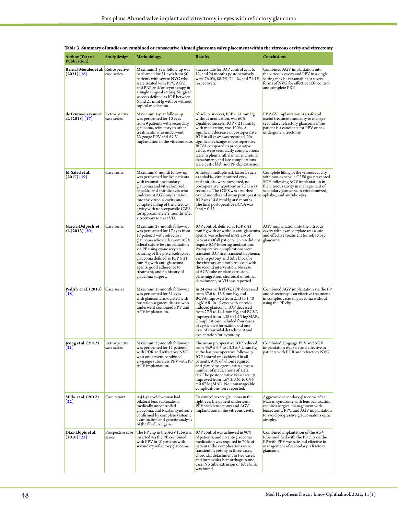| Author (Year of<br>Publication)                      | Study design                 | Methodology                                                                                                                                                                                                                                                                                                                                                                         | <b>Results</b>                                                                                                                                                                                                                                                                                                                                                                                                                                                                                                 | <b>Conclusions</b>                                                                                                                                                                                                |
|------------------------------------------------------|------------------------------|-------------------------------------------------------------------------------------------------------------------------------------------------------------------------------------------------------------------------------------------------------------------------------------------------------------------------------------------------------------------------------------|----------------------------------------------------------------------------------------------------------------------------------------------------------------------------------------------------------------------------------------------------------------------------------------------------------------------------------------------------------------------------------------------------------------------------------------------------------------------------------------------------------------|-------------------------------------------------------------------------------------------------------------------------------------------------------------------------------------------------------------------|
| Bernal-Morales et al. Retrospective<br>$(2021)$ [16] | case series                  | Maximum 2-year follow-up was<br>performed for 51 eyes from 50<br>patients with severe NVG who<br>were treated with PPV, AGV,<br>and PRP and/or cryotherapy in<br>a single surgical setting. Surgical<br>success defined as IOP between<br>6 and 21 mmHg with or without<br>topical medication.                                                                                      | Success rate for IOP control at 1, 6,<br>12, and 24 months postoperatively<br>were 76.0%, 88.3%, 74.4%, and 71.4%,<br>respectively.                                                                                                                                                                                                                                                                                                                                                                            | Combined AGV implantation into<br>the vitreous cavity and PPV in a single<br>setting may be reasonable for severe<br>forms of NVG for effective IOP control<br>and complete PRP.                                  |
| de Frutos-Lezaun et<br>al. (2018) [17]               | Retrospective<br>case series | Maximum 1-year follow-up<br>was performed for 10 eyes<br>from 9 patients with secondary<br>glaucoma, refractory to other<br>treatments, who underwent<br>23-gauge PPV and AGV<br>implantation in the vitreous base.                                                                                                                                                                 | Absolute success, IOP < 21 mmHg<br>without medication, was 60%.<br>Qualified success, IOP < 21 mmHg<br>with medication, was 100%. A<br>significant decrease in postoperative<br>IOP in all cases was recorded. No<br>significant changes in postoperative<br>BCVA compared to preoperative<br>values were seen. Early complications<br>were hyphema, athalamia, and retinal<br>detachment, and late complications<br>were cystic bleb and PP clip extrusion.                                                   | PP AGV implantation is a safe and<br>useful treatment modality to manage<br>secondary refractory glaucoma if the<br>patient is a candidate for PPV or has<br>undergone vitrectomy.                                |
| El-Saied et al.<br>$(2017)$ [19]                     | Case series                  | Maximum 6-month follow-up<br>was performed for five patients<br>with traumatic secondary<br>glaucoma and vitrectomized,<br>aphakic, and aniridic eyes who<br>underwent AGV implantation<br>into the vitreous cavity and<br>complete filling of the vitreous<br>cavity with non-expansile C3F8<br>for approximately 2 months after<br>vitrectomy to treat VH.                        | Although multiple risk factors, such<br>as aphakia, vitrectomized eyes,<br>and aniridia, were presented, no<br>postoperative hypotony or SCH was<br>recorded. The C3F8 was absorbed<br>over 2 months and mean postoperative   aphakic, and aniridic eyes.<br>IOP was 14.8 mmHg at 6 months.<br>The final postoperative BCVA was<br>$0.66 \pm 0.13$ .                                                                                                                                                           | Complete filling of the vitreous cavity<br>with non-expansile C3F8 gas prevented<br>SCH following AGV implantation in<br>the vitreous cavity in management of<br>secondary glaucoma in vitrectomized,             |
| García-Delpech et<br>al. (2013) [20]                 | Case series                  | Maximum 28-month follow-up<br>was performed for 17 eyes from<br>17 patients with refractory<br>glaucoma who underwent AGV<br>scleral suture-less implantation<br>via PP using cyanoacrylate<br>suturing of the plate. Refractory<br>glaucoma defined as $IOP \geq 21$<br>mm Hg with anti-glaucoma<br>agents, good adherence to<br>treatment, and no history of<br>glaucoma surgery. | IOP control, defined as $IOP \leq 21$<br>mmHg with or without anti-glaucoma<br>agents, was achieved in 82.2% of<br>patients. Of all patients, 58.8% did not<br>require IOP-lowering medications.<br>Postoperative complications were<br>transient IOP rise, transient hyphema,<br>early hypotony, and tube block by<br>the vitreous, and both resolved with<br>the second intervention. No case<br>of AGV tube or plate extrusion,<br>plate migration, choroidal or retinal<br>detachment, or VH was reported. | AGV implantation into the vitreous<br>cavity with cyanoacrylate was a safe<br>and effective treatment for refractory<br>glaucoma.                                                                                 |
| Wallsh et al. (2013)<br>$\lfloor 18 \rfloor$         | Case series                  | Maximum 28-month follow-up<br>was performed for 31 eyes<br>with glaucoma associated with<br>posterior-segment disease who<br>underwent combined PPV and<br>AGV implantation.                                                                                                                                                                                                        | In 24 eyes with NVG, IOP decreased<br>from 37.6 to 13.8 mmHg, and<br>BCVA improved from 2.13 to 1.40<br>logMAR. In 15 eyes with steroid-<br>induced glaucoma, IOP deceased<br>from 27.9 to 14.1 mmHg, and BCVA<br>improved from 1.38 to 1.13 logMAR.<br>Complications included four cases<br>of cystic bleb formation and one<br>case of choroidal detachment and<br>explantation for hypotony.                                                                                                                | Combined AGV implantation via the PP<br>and vitrectomy is an effective treatment<br>in complex cases of glaucoma without<br>using the PP clip.                                                                    |
| Jeong et al. (2012)<br>$\lfloor 21 \rfloor$          | Retrospective<br>case series | Maximum 25-month follow-up<br>was performed for 11 patients<br>with PDR and refractory NVG<br>who underwent combined<br>23-gauge sutureless PPV with PP<br>AGV implantation.                                                                                                                                                                                                        | The mean preoperative IOP reduced<br>from $35.9 \pm 6.3$ to $13.3 \pm 3.2$ mmHg<br>at the last postoperative follow-up.<br>IOP control was achieved in all<br>patients, 91% of whom required<br>anti-glaucoma agents with a mean<br>number of medications of 1.2 $\pm$<br>0.6. The postoperative visual acuity<br>improved from $1.67 \pm 0.61$ to 0.96<br>± 0.67 logMAR. No unmanageable<br>complications were reported.                                                                                      | Combined 23-gauge PPV and AGV<br>implantation was safe and effective in<br>patients with PDR and refractory NVG.                                                                                                  |
| Milla et al. (2012)<br>$\lfloor 22 \rfloor$          | Case report                  | A 41-year-old woman had<br>bilateral lens subluxation,<br>medically uncontrolled<br>glaucoma, and Marfan syndrome<br>confirmed by complete systemic<br>examination and genetic analysis<br>of the fibrillin 1 gene.                                                                                                                                                                 | To control severe glaucoma in the<br>right eye, the patient underwent<br>PPV with lensectomy and AGV<br>implantation in the vitreous cavity.                                                                                                                                                                                                                                                                                                                                                                   | Aggressive secondary glaucoma after<br>Marfan syndrome with lens subluxation<br>requires surgical management with<br>lensectomy, PPV, and AGV implantation<br>to avoid progressive glaucomatous optic<br>atrophy. |
| Diaz-Llopis et al.<br>$(2010)$ [23]                  | Prospective case<br>series   | The PP clip in the AGV tube was<br>inserted via the PP combined<br>with PPV in 10 patients with<br>secondary refractory glaucoma.                                                                                                                                                                                                                                                   | IOP control was achieved in 90%<br>of patients, and no anti-glaucoma<br>medication was required in 70% of<br>patients. The complications were<br>transient hypotony in three cases,<br>choroidal detachment in two cases,<br>and intraocular hemorrhage in one<br>case. No tube extrusion or tube kink<br>was found.                                                                                                                                                                                           | Combined implantation of the AGV<br>tube modified with the PP clip via the<br>PP with PPV was safe and effective in<br>management of secondary refractory<br>glaucoma.                                            |

<span id="page-4-0"></span>

| Table 3. Summary of studies on combined or consecutive Ahmed glaucoma valve placement within the vitreous cavity and vitrectomy |  |  |  |
|---------------------------------------------------------------------------------------------------------------------------------|--|--|--|
|---------------------------------------------------------------------------------------------------------------------------------|--|--|--|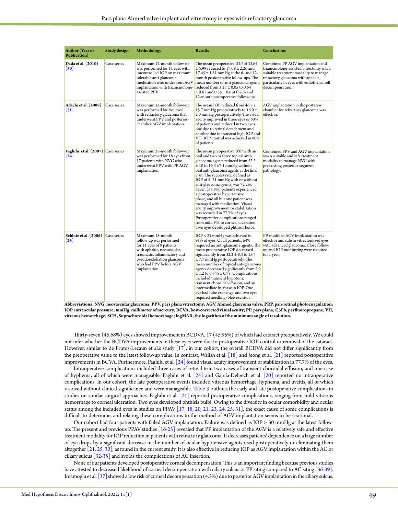| <b>Author</b> (Year of<br>Publication)                             | <b>Study design</b> | Methodology                                                                                                                                                                                                    | <b>Results</b>                                                                                                                                                                                                                                                                                                                                                                                                                                                                                                                                                                                                                                               | <b>Conclusions</b>                                                                                                                                                                                                         |
|--------------------------------------------------------------------|---------------------|----------------------------------------------------------------------------------------------------------------------------------------------------------------------------------------------------------------|--------------------------------------------------------------------------------------------------------------------------------------------------------------------------------------------------------------------------------------------------------------------------------------------------------------------------------------------------------------------------------------------------------------------------------------------------------------------------------------------------------------------------------------------------------------------------------------------------------------------------------------------------------------|----------------------------------------------------------------------------------------------------------------------------------------------------------------------------------------------------------------------------|
| Dada et al. (2010)<br>$\left[30\right]$                            | Case series         | Maximum 12-month follow-up<br>was performed for 11 eyes with<br>uncontrolled IOP on maximum<br>tolerable anti-glaucoma<br>medication who underwent AGV<br>implantation with triamcinolone-<br>assisted PPV.    | The mean preoperative IOP of 33.64<br>$\pm$ 5.99 reduced to 17.09 $\pm$ 2.26 and<br>$17.45 \pm 1.81$ mmHg at the 6- and 12-<br>month postoperative follow-ups. The<br>mean number of anti-glaucoma agents<br>reduced from $3.27 \pm 0.05$ to 0.64<br>$\pm$ 0.67 and 0.55 $\pm$ 0.6 at the 6- and<br>12-month postoperative follow-ups.                                                                                                                                                                                                                                                                                                                       | Combined PP AGV implantation and<br>triamcinolone-assisted vitrectomy was a<br>suitable treatment modality to manage<br>refractory glaucoma with aphakia,<br>particularly in eyes with endothelial cell<br>decompensation. |
| Adachi et al. (2008)<br> 31                                        | Case series         | Maximum 12-month follow-up<br>was performed for five eyes<br>with refractory glaucoma that<br>underwent PPV and posterior-<br>chamber AGV implantation.                                                        | The mean IOP reduced from 46.8 $\pm$<br>15.7 mmHg preoperatively to $16.0 \pm$<br>2.0 mmHg postoperatively. The visual<br>acuity improved in three eyes or 60%<br>of patients and reduced in two eyes:<br>one due to retinal detachment and<br>another due to transient high IOP and<br>VH. IOP control was achieved in 80%<br>of patients.                                                                                                                                                                                                                                                                                                                  | AGV implantation in the posterior<br>chamber for refractory glaucoma was<br>effective.                                                                                                                                     |
| Faghihi et al. (2007) Case series<br>$\left\lceil 24 \right\rceil$ |                     | Maximum 28-month follow-up<br>was performed for 18 eyes from<br>17 patients with NVG who<br>underwent PPV with PP AGV<br>implantation.                                                                         | The mean preoperative IOP with an<br>oral and two or three topical anti-<br>glaucoma agents reduced from 53.3<br>$\pm$ 10 to 16.3 $\pm$ 7.1 mmHg without<br>oral anti-glaucoma agents at the final<br>visit. The success rate, defined as<br>IOP of 5–21 mmHg with or without<br>anti-glaucoma agents, was 72.2%.<br>Seven (38.8%) patients experienced<br>a postoperative hypertensive<br>phase, and all but one patient was<br>managed with medication. Visual<br>acuity improvement or stabilization<br>was recorded in 77.7% of eyes.<br>Postoperative complications ranged<br>from mild VH to corneal ulceration.<br>Two eyes developed phthisis bulbi. | Combined PPV and AGV implantation<br>was a suitable and safe treatment<br>modality to manage NVG with<br>preexisting posterior-segment<br>pathology.                                                                       |
| Schlote et al. (2006)<br>$\left\lceil 25 \right\rceil$             | Case series         | Maximum 18-month<br>follow-up was performed<br>for 11 eyes of 9 patients<br>with aphakic, neovascular,<br>traumatic, inflammatory and<br>pseudoexfoliation glaucoma<br>who had PPV before AGV<br>implantation. | $IOP \leq 21$ mmHg was achieved in<br>91% of eyes. Of all patients, 64%<br>required no anti-glaucoma agents. The<br>mean preoperative IOP decreased<br>significantly from $32.2 \pm 8.3$ to 15.7<br>± 7.7 mmHg postoperatively. The<br>mean number of topical anti-glaucoma<br>agents decreased significantly from 2.9<br>$\pm$ 1.2 to 0.545 $\pm$ 0.78. Complications<br>included transient hypotony,<br>transient choroidal effusion, and an<br>intermediate increase in IOP. One<br>eye had tube exchange, and two eyes<br>required needling/bleb excision.                                                                                               | PP-modified AGV implantation was<br>effective and safe in vitrectomized eyes<br>with advanced glaucoma. Close follow-<br>up and IOP monitoring were required<br>for 1 year.                                                |

**Abbreviations: NVG, neovascular glaucoma; PPV, pars plana vitrectomy; AGV, Ahmed glaucoma valve; PRP, pan-retinal photocoagulation; IOP, intraocular pressure; mmHg, millimeter of mercury; BCVA, best-corrected visual acuity; PP, pars plana; C3F8, perfluoropropane; VH, vitreous hemorrhage; SCH, Suprachoroidal hemorrhage; logMAR, the logarithm of the minimum angle of resolution.**

Thirty-seven (45.68%) eyes showed improvement in BCDVA, 17 (45.95%) of which had cataract preoperatively*.* We could not infer whether the BCDVA improvements in these eyes were due to postoperative IOP control or removal of the cataract. However, similar to de Frutos-Lezaun et al.'s study [\[17\],](#page-7-17) in our cohort, the overall BCDVA did not differ significantly from the preoperative value to the latest follow-up value. In contrast, Wallsh et al.  $\left[18\right]$  and Jeong et al.  $\left[21\right]$  reported postoperative improvements in BCVA. Furthermore, Faghihi et al. [\[24\]](#page-7-11) found visual acuity improvement or stabilization in 77.7% of the eyes.

Intraoperative complications included three cases of retinal tear, two cases of transient choroidal effusion, and one case of hyphema, all of which were manageable. Faghihi et al. [\[24\]](#page-7-11) and García-Delpech et al. [\[20\] r](#page-7-18)eported no intraoperative complications. In our cohort, the late postoperative events included vitreous hemorrhage, hyphema, and uveitis, all of which resolved without clinical significance and were manageable. [Table](#page-4-0) 3 outlines the early and late postoperative complications in studies on similar surgical approaches. Faghihi et al. [\[24\] r](#page-7-11)eported postoperative complications, ranging from mild vitreous hemorrhage to corneal ulceration. Two eyes developed phthisis bulbi. Owing to the diversity in ocular comorbidity and ocular status among the included eyes in studies on PPAV [\[17,](#page-7-17) [18,](#page-7-10) [20,](#page-7-18) [21,](#page-7-19) [23,](#page-7-12) [24,](#page-7-11) [25,](#page-7-15) [31\],](#page-7-14) the exact cause of some complications is difficult to determine, and relating these complications to the method of AGV implantation seems to be irrational.

Our cohort had four patients with failed AGV implantation. Failure was defined as IOP > 30 mmHg at the latest followup. The present and previous PPAV studies [\[16-25\]](#page-7-4) revealed that PP implantation of the AGV is a relatively safe and effective treatment modality for IOP reduction in patients with refractory glaucoma. It decreases patients' dependence on a large number of eye drops by a significant decrease in the number of ocular hypotensive agents used postoperatively or eliminating them altogether [\[21,](#page-7-19) [25,](#page-7-15) [30\]](#page-7-13), as found in the current study. It is also effective in reducing IOP as AGV implantation within the AC or ciliary sulcus [\[32-35\] a](#page-7-16)nd avoids the complications of AC insertion.

None of our patients developed postoperative corneal decompensation. This is an important finding because previous studies have attested to decreased likelihood of corneal decompensation with ciliary sulcus or PP siting compared to AC siting [\[36-39\].](#page-7-21) Imamoglu et al. [\[37\]](#page-7-22) showed a low risk of corneal decompensation (4.3%) due to posterior AGV implantation in the ciliary sulcus.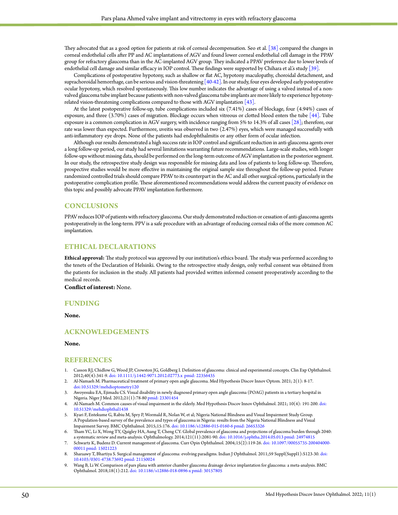They advocated that as a good option for patients at risk of corneal decompensation. Seo et al. **[**[38\]](#page-7-23) compared the changes in corneal endothelial cells after PP and AC implantations of AGV and found lower corneal endothelial cell damage in the PPAV group for refractory glaucoma than in the AC-implanted AGV group. They indicated a PPAV preference due to lower levels of endothelial cell damage and similar efficacy in IOP control. These findings were supported by Chihara et al.'s study **[**[39\]](#page-7-24).

Complications of postoperative hypotony, such as shallow or flat AC, hypotony maculopathy, choroidal detachment, and suprachoroidal hemorrhage, can be serious and vision-threatening [\[40-42\]](#page-7-25). In our study, four eyes developed early postoperative ocular hypotony, which resolved spontaneously. This low number indicates the advantage of using a valved instead of a nonvalved glaucoma tube implant because patients with non-valved glaucoma tube implants are more likely to experience hypotonyrelated vision-threatening complications compared to those with AGV implantation  $[43]$ .

At the latest postoperative follow-up, tube complications included six (7.41%) cases of blockage, four (4.94%) cases of exposure, and three (3.70%) cases of migration. Blockage occurs when vitreous or clotted blood enters the tube [\[44\]](#page-7-27). Tube exposure is a common complication in AGV surgery, with incidence ranging from 5% to 14.3% of all cases [\[28\];](#page-7-8) therefore, our rate was lower than expected. Furthermore, uveitis was observed in two (2.47%) eyes, which were managed successfully with anti-inflammatory eye drops. None of the patients had endophthalmitis or any other form of ocular infection.

Although our results demonstrated a high success rate in IOP control and significant reduction in anti-glaucoma agents over a long follow-up period, our study had several limitations warranting future recommendations. Large-scale studies, with longer follow-ups without missing data, should be performed on the long-term outcome of AGV implantation in the posterior segment. In our study, the retrospective study design was responsible for missing data and loss of patients to long follow-up. Therefore, prospective studies would be more effective in maintaining the original sample size throughout the follow-up period. Future randomized controlled trials should compare PPAV to its counterpart in the AC and all other surgical options, particularly in the postoperative complication profile. These aforementioned recommendations would address the current paucity of evidence on this topic and possibly advocate PPAV implantation furthermore.

## **CONCLUSIONS**

PPAV reduces IOP of patients with refractory glaucoma. Our study demonstrated reduction or cessation of anti-glaucoma agents postoperatively in the long-term. PPV is a safe procedure with an advantage of reducing corneal risks of the more common AC implantation.

## **ETHICAL DECLARATIONS**

**Ethical approval:** The study protocol was approved by our institution's ethics board. The study was performed according to the tenets of the Declaration of Helsinki. Owing to the retrospective study design, only verbal consent was obtained from the patients for inclusion in the study. All patients had provided written informed consent preoperatively according to the medical records.

**Conflict of interest:** None.

## **FUNDING**

**None.**

## **ACKNOWLEDGEMENTS**

#### **None.**

#### **REFERENCES**

- <span id="page-6-0"></span>1. Casson RJ, Chidlow G, Wood JP, Crowston JG, Goldberg I. Definition of glaucoma: clinical and experimental concepts. Clin Exp Ophthalmol. 2012;40(4):341-9. [doi: 10.1111/j.1442-9071.2012.02773.x](https://doi.org/10.1111/j.1442-9071.2012.02773.x) [pmid: 22356435](https://pubmed.ncbi.nlm.nih.gov/22356435/)
- 2. Al-Namaeh M. Pharmaceutical treatment of primary open angle glaucoma. Med Hypothesis Discov Innov Optom. 2021; 2(1): 8-17. [doi:10.51329/mehdioptometry120](https://doi.org/10.51329/mehdioptometry120)
- 3. Awoyesuku EA, Ejimadu CS. Visual disability in newly diagnosed primary open angle glaucoma (POAG) patients in a tertiary hospital in Nigeria. Niger J Med. 2012;21(1):78-80 [pmid: 23301454](https://pubmed.ncbi.nlm.nih.gov/23301454/)
- 4. Al-Namaeh M. Common causes of visual impairment in the elderly. Med Hypothesis Discov Innov Ophthalmol. 2021; 10(4): 191-200. [doi:](https://doi.org/10.51329/mehdiophthal1438)  [10.51329/mehdiophthal1438](https://doi.org/10.51329/mehdiophthal1438)
- 5. Kyari F, Entekume G, Rabiu M, Spry P, Wormald R, Nolan W, et al; Nigeria National Blindness and Visual Impairment Study Group. A Population-based survey of the prevalence and types of glaucoma in Nigeria: results from the Nigeria National Blindness and Visual Impairment Survey. BMC Ophthalmol. 2015;15:176. [doi: 10.1186/s12886-015-0160-6](https://doi.org/10.1186/s12886-015-0160-6) [pmid: 26653326](https://pubmed.ncbi.nlm.nih.gov/26653326/)
- 6. Tham YC, Li X, Wong TY, Quigley HA, Aung T, Cheng CY. Global prevalence of glaucoma and projections of glaucoma burden through 2040: a systematic review and meta-analysis. Ophthalmology. 2014;121(11):2081-90. [doi: 10.1016/j.ophtha.2014.05.013](https://doi.org/10.1016/j.ophtha.2014.05.013) [pmid: 24974815](https://pubmed.ncbi.nlm.nih.gov/24974815/)
- <span id="page-6-1"></span>7. Schwartz K, Budenz D. Current management of glaucoma. Curr Opin Ophthalmol. 2004;15(2):119-26. [doi: 10.1097/00055735-200404000-](https://doi.org/10.1097/00055735-200404000-00011) [00011](https://doi.org/10.1097/00055735-200404000-00011) [pmid: 15021223](https://pubmed.ncbi.nlm.nih.gov/15021223/)
- <span id="page-6-2"></span>8. Sharaawy T, Bhartiya S. Surgical management of glaucoma: evolving paradigms. Indian J Ophthalmol. 2011;59 Suppl(Suppl1):S123-30. [doi:](https://doi.org/10.4103/0301-4738.73692)  [10.4103/0301-4738.73692](https://doi.org/10.4103/0301-4738.73692) [pmid: 21150024](https://pubmed.ncbi.nlm.nih.gov/21150024/)
- <span id="page-6-3"></span>9. Wang B, Li W. Comparison of pars plana with anterior chamber glaucoma drainage device implantation for glaucoma: a meta-analysis. BMC Ophthalmol. 2018;18(1):212. [doi: 10.1186/s12886-018-0896-x](https://bmcophthalmol.biomedcentral.com/articles/10.1186/s12886-018-0896-x) [pmid: 30157805](https://pubmed.ncbi.nlm.nih.gov/30157805/)